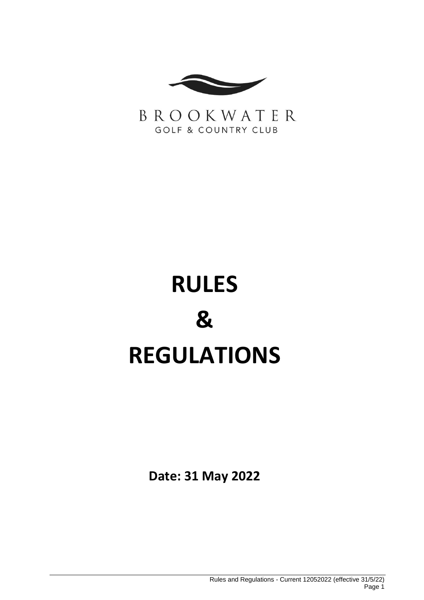

BROOKWATER **GOLF & COUNTRY CLUB** 

# **RULES & REGULATIONS**

**Date: 31 May 2022**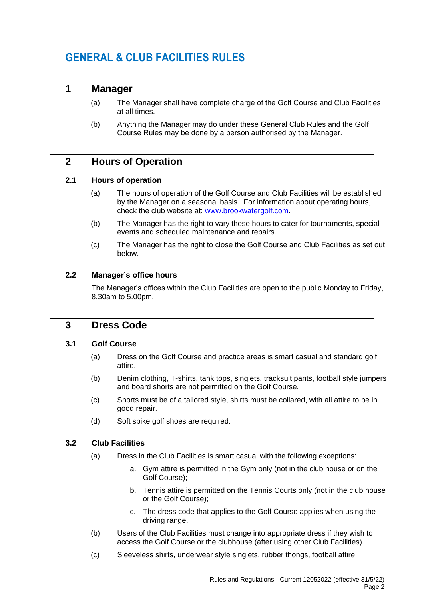# **GENERAL & CLUB FACILITIES RULES**

## **1 Manager**

- (a) The Manager shall have complete charge of the Golf Course and Club Facilities at all times.
- (b) Anything the Manager may do under these General Club Rules and the Golf Course Rules may be done by a person authorised by the Manager.

## **2 Hours of Operation**

#### **2.1 Hours of operation**

- (a) The hours of operation of the Golf Course and Club Facilities will be established by the Manager on a seasonal basis. For information about operating hours, check the club website at: [www.brookwatergolf.com.](http://www.brookwatergolf.com/)
- (b) The Manager has the right to vary these hours to cater for tournaments, special events and scheduled maintenance and repairs.
- (c) The Manager has the right to close the Golf Course and Club Facilities as set out below.

#### **2.2 Manager's office hours**

The Manager's offices within the Club Facilities are open to the public Monday to Friday, 8.30am to 5.00pm.

## **3 Dress Code**

#### **3.1 Golf Course**

- (a) Dress on the Golf Course and practice areas is smart casual and standard golf attire.
- (b) Denim clothing, T-shirts, tank tops, singlets, tracksuit pants, football style jumpers and board shorts are not permitted on the Golf Course.
- (c) Shorts must be of a tailored style, shirts must be collared, with all attire to be in good repair.
- (d) Soft spike golf shoes are required.

#### **3.2 Club Facilities**

- (a) Dress in the Club Facilities is smart casual with the following exceptions:
	- a. Gym attire is permitted in the Gym only (not in the club house or on the Golf Course);
	- b. Tennis attire is permitted on the Tennis Courts only (not in the club house or the Golf Course);
	- c. The dress code that applies to the Golf Course applies when using the driving range.
- (b) Users of the Club Facilities must change into appropriate dress if they wish to access the Golf Course or the clubhouse (after using other Club Facilities).
- (c) Sleeveless shirts, underwear style singlets, rubber thongs, football attire,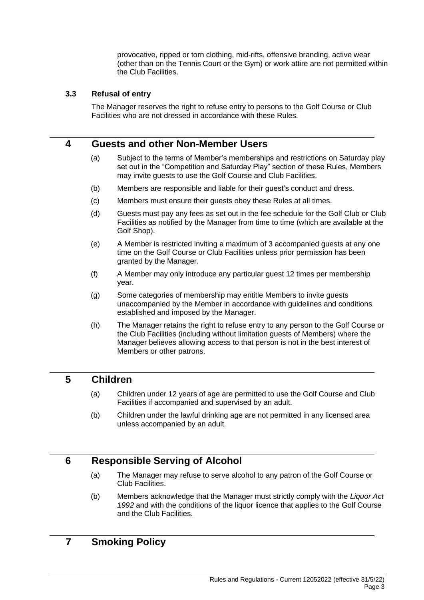provocative, ripped or torn clothing, mid-rifts, offensive branding, active wear (other than on the Tennis Court or the Gym) or work attire are not permitted within the Club Facilities.

#### **3.3 Refusal of entry**

The Manager reserves the right to refuse entry to persons to the Golf Course or Club Facilities who are not dressed in accordance with these Rules.

## **4 Guests and other Non-Member Users**

- (a) Subject to the terms of Member's memberships and restrictions on Saturday play set out in the "Competition and Saturday Play" section of these Rules, Members may invite guests to use the Golf Course and Club Facilities.
- (b) Members are responsible and liable for their guest's conduct and dress.
- (c) Members must ensure their guests obey these Rules at all times.
- (d) Guests must pay any fees as set out in the fee schedule for the Golf Club or Club Facilities as notified by the Manager from time to time (which are available at the Golf Shop).
- (e) A Member is restricted inviting a maximum of 3 accompanied guests at any one time on the Golf Course or Club Facilities unless prior permission has been granted by the Manager.
- (f) A Member may only introduce any particular guest 12 times per membership year.
- (g) Some categories of membership may entitle Members to invite guests unaccompanied by the Member in accordance with guidelines and conditions established and imposed by the Manager.
- (h) The Manager retains the right to refuse entry to any person to the Golf Course or the Club Facilities (including without limitation guests of Members) where the Manager believes allowing access to that person is not in the best interest of Members or other patrons.

## **5 Children**

- (a) Children under 12 years of age are permitted to use the Golf Course and Club Facilities if accompanied and supervised by an adult.
- (b) Children under the lawful drinking age are not permitted in any licensed area unless accompanied by an adult.

## **6 Responsible Serving of Alcohol**

- (a) The Manager may refuse to serve alcohol to any patron of the Golf Course or Club Facilities.
- (b) Members acknowledge that the Manager must strictly comply with the *Liquor Act 1992* and with the conditions of the liquor licence that applies to the Golf Course and the Club Facilities.

# **7 Smoking Policy**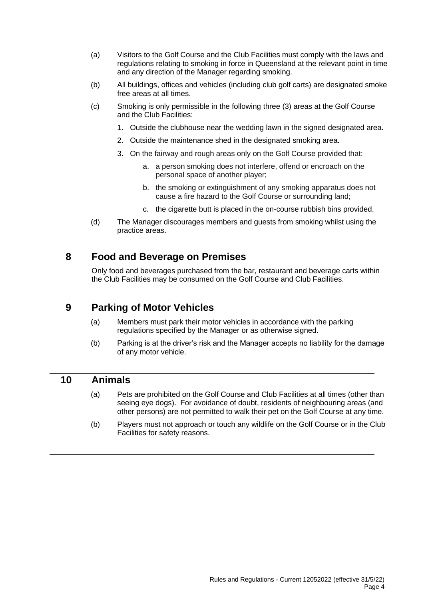- (a) Visitors to the Golf Course and the Club Facilities must comply with the laws and regulations relating to smoking in force in Queensland at the relevant point in time and any direction of the Manager regarding smoking.
- (b) All buildings, offices and vehicles (including club golf carts) are designated smoke free areas at all times.
- (c) Smoking is only permissible in the following three (3) areas at the Golf Course and the Club Facilities:
	- 1. Outside the clubhouse near the wedding lawn in the signed designated area.
	- 2. Outside the maintenance shed in the designated smoking area.
	- 3. On the fairway and rough areas only on the Golf Course provided that:
		- a. a person smoking does not interfere, offend or encroach on the personal space of another player;
		- b. the smoking or extinguishment of any smoking apparatus does not cause a fire hazard to the Golf Course or surrounding land;
		- c. the cigarette butt is placed in the on-course rubbish bins provided.
- (d) The Manager discourages members and guests from smoking whilst using the practice areas.

## **8 Food and Beverage on Premises**

Only food and beverages purchased from the bar, restaurant and beverage carts within the Club Facilities may be consumed on the Golf Course and Club Facilities.

#### **9 Parking of Motor Vehicles**

- (a) Members must park their motor vehicles in accordance with the parking regulations specified by the Manager or as otherwise signed.
- (b) Parking is at the driver's risk and the Manager accepts no liability for the damage of any motor vehicle.

#### **10 Animals**

- (a) Pets are prohibited on the Golf Course and Club Facilities at all times (other than seeing eye dogs). For avoidance of doubt, residents of neighbouring areas (and other persons) are not permitted to walk their pet on the Golf Course at any time.
- (b) Players must not approach or touch any wildlife on the Golf Course or in the Club Facilities for safety reasons.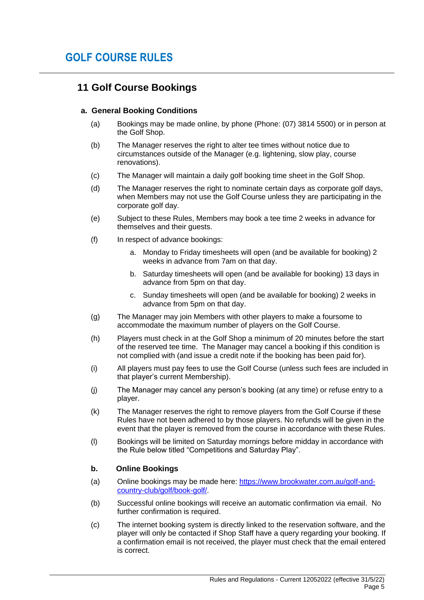# **11 Golf Course Bookings**

#### **a. General Booking Conditions**

- (a) Bookings may be made online, by phone (Phone: (07) 3814 5500) or in person at the Golf Shop.
- (b) The Manager reserves the right to alter tee times without notice due to circumstances outside of the Manager (e.g. lightening, slow play, course renovations).
- (c) The Manager will maintain a daily golf booking time sheet in the Golf Shop.
- (d) The Manager reserves the right to nominate certain days as corporate golf days, when Members may not use the Golf Course unless they are participating in the corporate golf day.
- (e) Subject to these Rules, Members may book a tee time 2 weeks in advance for themselves and their guests.
- (f) In respect of advance bookings:
	- a. Monday to Friday timesheets will open (and be available for booking) 2 weeks in advance from 7am on that day.
	- b. Saturday timesheets will open (and be available for booking) 13 days in advance from 5pm on that day.
	- c. Sunday timesheets will open (and be available for booking) 2 weeks in advance from 5pm on that day.
- (g) The Manager may join Members with other players to make a foursome to accommodate the maximum number of players on the Golf Course.
- (h) Players must check in at the Golf Shop a minimum of 20 minutes before the start of the reserved tee time. The Manager may cancel a booking if this condition is not complied with (and issue a credit note if the booking has been paid for).
- (i) All players must pay fees to use the Golf Course (unless such fees are included in that player's current Membership).
- (j) The Manager may cancel any person's booking (at any time) or refuse entry to a player.
- (k) The Manager reserves the right to remove players from the Golf Course if these Rules have not been adhered to by those players. No refunds will be given in the event that the player is removed from the course in accordance with these Rules.
- (l) Bookings will be limited on Saturday mornings before midday in accordance with the Rule below titled "Competitions and Saturday Play".

#### **b. Online Bookings**

- (a) Online bookings may be made here: [https://www.brookwater.com.au/golf-and](https://www.brookwater.com.au/golf-and-country-club/golf/book-golf/)[country-club/golf/book-golf/.](https://www.brookwater.com.au/golf-and-country-club/golf/book-golf/)
- (b) Successful online bookings will receive an automatic confirmation via email. No further confirmation is required.
- (c) The internet booking system is directly linked to the reservation software, and the player will only be contacted if Shop Staff have a query regarding your booking. If a confirmation email is not received, the player must check that the email entered is correct.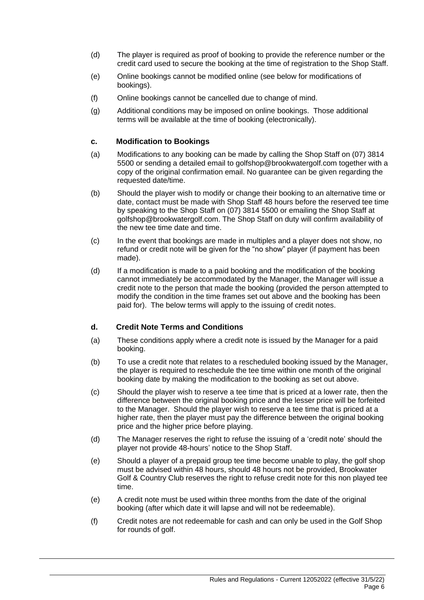- (d) The player is required as proof of booking to provide the reference number or the credit card used to secure the booking at the time of registration to the Shop Staff.
- (e) Online bookings cannot be modified online (see below for modifications of bookings).
- (f) Online bookings cannot be cancelled due to change of mind.
- (g) Additional conditions may be imposed on online bookings. Those additional terms will be available at the time of booking (electronically).

#### **c. Modification to Bookings**

- (a) Modifications to any booking can be made by calling the Shop Staff on (07) 3814 5500 or sending a detailed email to golfshop@brookwatergolf.com together with a copy of the original confirmation email. No guarantee can be given regarding the requested date/time.
- (b) Should the player wish to modify or change their booking to an alternative time or date, contact must be made with Shop Staff 48 hours before the reserved tee time by speaking to the Shop Staff on (07) 3814 5500 or emailing the Shop Staff at golfshop@brookwatergolf.com. The Shop Staff on duty will confirm availability of the new tee time date and time.
- (c) In the event that bookings are made in multiples and a player does not show, no refund or credit note will be given for the "no show" player (if payment has been made).
- (d) If a modification is made to a paid booking and the modification of the booking cannot immediately be accommodated by the Manager, the Manager will issue a credit note to the person that made the booking (provided the person attempted to modify the condition in the time frames set out above and the booking has been paid for). The below terms will apply to the issuing of credit notes.

#### **d. Credit Note Terms and Conditions**

- (a) These conditions apply where a credit note is issued by the Manager for a paid booking.
- (b) To use a credit note that relates to a rescheduled booking issued by the Manager, the player is required to reschedule the tee time within one month of the original booking date by making the modification to the booking as set out above.
- (c) Should the player wish to reserve a tee time that is priced at a lower rate, then the difference between the original booking price and the lesser price will be forfeited to the Manager. Should the player wish to reserve a tee time that is priced at a higher rate, then the player must pay the difference between the original booking price and the higher price before playing.
- (d) The Manager reserves the right to refuse the issuing of a 'credit note' should the player not provide 48-hours' notice to the Shop Staff.
- (e) Should a player of a prepaid group tee time become unable to play, the golf shop must be advised within 48 hours, should 48 hours not be provided, Brookwater Golf & Country Club reserves the right to refuse credit note for this non played tee time.
- (e) A credit note must be used within three months from the date of the original booking (after which date it will lapse and will not be redeemable).
- (f) Credit notes are not redeemable for cash and can only be used in the Golf Shop for rounds of golf.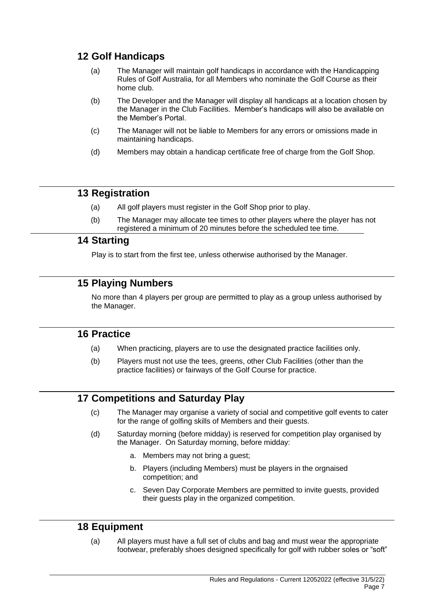# **12 Golf Handicaps**

- (a) The Manager will maintain golf handicaps in accordance with the Handicapping Rules of Golf Australia, for all Members who nominate the Golf Course as their home club.
- (b) The Developer and the Manager will display all handicaps at a location chosen by the Manager in the Club Facilities. Member's handicaps will also be available on the Member's Portal.
- (c) The Manager will not be liable to Members for any errors or omissions made in maintaining handicaps.
- (d) Members may obtain a handicap certificate free of charge from the Golf Shop.

## **13 Registration**

- (a) All golf players must register in the Golf Shop prior to play.
- (b) The Manager may allocate tee times to other players where the player has not registered a minimum of 20 minutes before the scheduled tee time.

## **14 Starting**

Play is to start from the first tee, unless otherwise authorised by the Manager.

# **15 Playing Numbers**

No more than 4 players per group are permitted to play as a group unless authorised by the Manager.

## **16 Practice**

- (a) When practicing, players are to use the designated practice facilities only.
- (b) Players must not use the tees, greens, other Club Facilities (other than the practice facilities) or fairways of the Golf Course for practice.

# **17 Competitions and Saturday Play**

- (c) The Manager may organise a variety of social and competitive golf events to cater for the range of golfing skills of Members and their guests.
- (d) Saturday morning (before midday) is reserved for competition play organised by the Manager. On Saturday morning, before midday:
	- a. Members may not bring a guest;
	- b. Players (including Members) must be players in the orgnaised competition; and
	- c. Seven Day Corporate Members are permitted to invite guests, provided their guests play in the organized competition.

# **18 Equipment**

(a) All players must have a full set of clubs and bag and must wear the appropriate footwear, preferably shoes designed specifically for golf with rubber soles or "soft"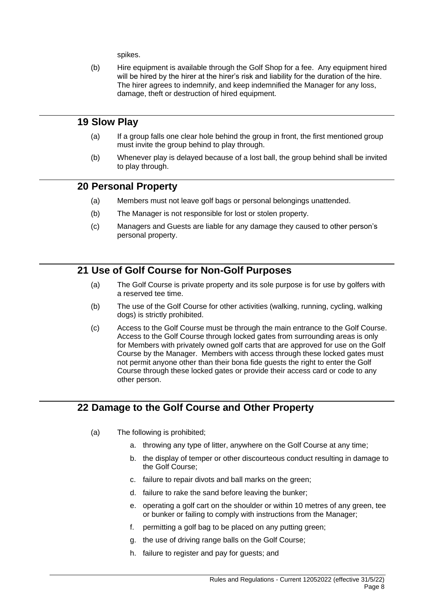spikes.

(b) Hire equipment is available through the Golf Shop for a fee. Any equipment hired will be hired by the hirer at the hirer's risk and liability for the duration of the hire. The hirer agrees to indemnify, and keep indemnified the Manager for any loss, damage, theft or destruction of hired equipment.

### **19 Slow Play**

- (a) If a group falls one clear hole behind the group in front, the first mentioned group must invite the group behind to play through.
- (b) Whenever play is delayed because of a lost ball, the group behind shall be invited to play through.

## **20 Personal Property**

- (a) Members must not leave golf bags or personal belongings unattended.
- (b) The Manager is not responsible for lost or stolen property.
- (c) Managers and Guests are liable for any damage they caused to other person's personal property.

## **21 Use of Golf Course for Non-Golf Purposes**

- (a) The Golf Course is private property and its sole purpose is for use by golfers with a reserved tee time.
- (b) The use of the Golf Course for other activities (walking, running, cycling, walking dogs) is strictly prohibited.
- (c) Access to the Golf Course must be through the main entrance to the Golf Course. Access to the Golf Course through locked gates from surrounding areas is only for Members with privately owned golf carts that are approved for use on the Golf Course by the Manager. Members with access through these locked gates must not permit anyone other than their bona fide guests the right to enter the Golf Course through these locked gates or provide their access card or code to any other person.

## **22 Damage to the Golf Course and Other Property**

- (a) The following is prohibited;
	- a. throwing any type of litter, anywhere on the Golf Course at any time;
	- b. the display of temper or other discourteous conduct resulting in damage to the Golf Course;
	- c. failure to repair divots and ball marks on the green;
	- d. failure to rake the sand before leaving the bunker;
	- e. operating a golf cart on the shoulder or within 10 metres of any green, tee or bunker or failing to comply with instructions from the Manager;
	- f. permitting a golf bag to be placed on any putting green;
	- g. the use of driving range balls on the Golf Course;
	- h. failure to register and pay for guests; and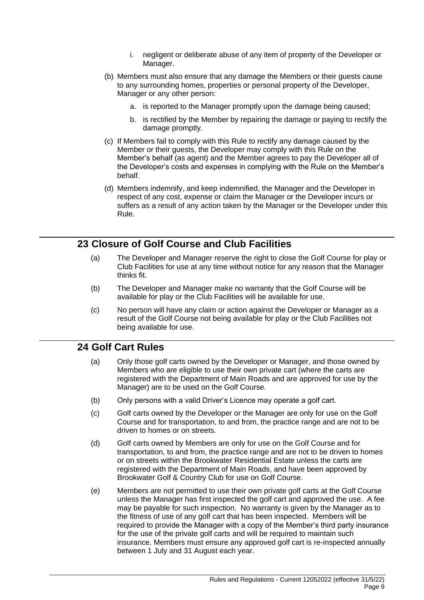- i. negligent or deliberate abuse of any item of property of the Developer or Manager.
- (b) Members must also ensure that any damage the Members or their guests cause to any surrounding homes, properties or personal property of the Developer, Manager or any other person:
	- a. is reported to the Manager promptly upon the damage being caused;
	- b. is rectified by the Member by repairing the damage or paying to rectify the damage promptly.
- (c) If Members fail to comply with this Rule to rectify any damage caused by the Member or their guests, the Developer may comply with this Rule on the Member's behalf (as agent) and the Member agrees to pay the Developer all of the Developer's costs and expenses in complying with the Rule on the Member's behalf.
- (d) Members indemnify, and keep indemnified, the Manager and the Developer in respect of any cost, expense or claim the Manager or the Developer incurs or suffers as a result of any action taken by the Manager or the Developer under this Rule.

## **23 Closure of Golf Course and Club Facilities**

- (a) The Developer and Manager reserve the right to close the Golf Course for play or Club Facilities for use at any time without notice for any reason that the Manager thinks fit.
- (b) The Developer and Manager make no warranty that the Golf Course will be available for play or the Club Facilities will be available for use.
- (c) No person will have any claim or action against the Developer or Manager as a result of the Golf Course not being available for play or the Club Facilities not being available for use.

## **24 Golf Cart Rules**

- (a) Only those golf carts owned by the Developer or Manager, and those owned by Members who are eligible to use their own private cart (where the carts are registered with the Department of Main Roads and are approved for use by the Manager) are to be used on the Golf Course.
- (b) Only persons with a valid Driver's Licence may operate a golf cart.
- (c) Golf carts owned by the Developer or the Manager are only for use on the Golf Course and for transportation, to and from, the practice range and are not to be driven to homes or on streets.
- (d) Golf carts owned by Members are only for use on the Golf Course and for transportation, to and from, the practice range and are not to be driven to homes or on streets within the Brookwater Residential Estate unless the carts are registered with the Department of Main Roads, and have been approved by Brookwater Golf & Country Club for use on Golf Course.
- (e) Members are not permitted to use their own private golf carts at the Golf Course unless the Manager has first inspected the golf cart and approved the use. A fee may be payable for such inspection. No warranty is given by the Manager as to the fitness of use of any golf cart that has been inspected. Members will be required to provide the Manager with a copy of the Member's third party insurance for the use of the private golf carts and will be required to maintain such insurance. Members must ensure any approved golf cart is re-inspected annually between 1 July and 31 August each year.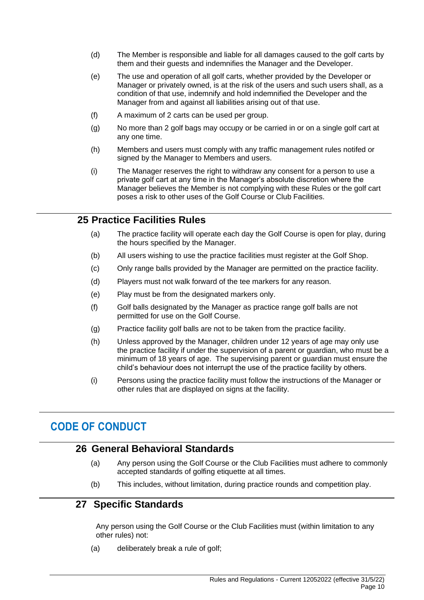- (d) The Member is responsible and liable for all damages caused to the golf carts by them and their guests and indemnifies the Manager and the Developer.
- (e) The use and operation of all golf carts, whether provided by the Developer or Manager or privately owned, is at the risk of the users and such users shall, as a condition of that use, indemnify and hold indemnified the Developer and the Manager from and against all liabilities arising out of that use.
- (f) A maximum of 2 carts can be used per group.
- (g) No more than 2 golf bags may occupy or be carried in or on a single golf cart at any one time.
- (h) Members and users must comply with any traffic management rules notifed or signed by the Manager to Members and users.
- (i) The Manager reserves the right to withdraw any consent for a person to use a private golf cart at any time in the Manager's absolute discretion where the Manager believes the Member is not complying with these Rules or the golf cart poses a risk to other uses of the Golf Course or Club Facilities.

## **25 Practice Facilities Rules**

- (a) The practice facility will operate each day the Golf Course is open for play, during the hours specified by the Manager.
- (b) All users wishing to use the practice facilities must register at the Golf Shop.
- (c) Only range balls provided by the Manager are permitted on the practice facility.
- (d) Players must not walk forward of the tee markers for any reason.
- (e) Play must be from the designated markers only.
- (f) Golf balls designated by the Manager as practice range golf balls are not permitted for use on the Golf Course.
- (g) Practice facility golf balls are not to be taken from the practice facility.
- (h) Unless approved by the Manager, children under 12 years of age may only use the practice facility if under the supervision of a parent or guardian, who must be a minimum of 18 years of age. The supervising parent or guardian must ensure the child's behaviour does not interrupt the use of the practice facility by others.
- (i) Persons using the practice facility must follow the instructions of the Manager or other rules that are displayed on signs at the facility.

# **CODE OF CONDUCT**

## **26 General Behavioral Standards**

- (a) Any person using the Golf Course or the Club Facilities must adhere to commonly accepted standards of golfing etiquette at all times.
- (b) This includes, without limitation, during practice rounds and competition play.

## **27 Specific Standards**

Any person using the Golf Course or the Club Facilities must (within limitation to any other rules) not:

(a) deliberately break a rule of golf;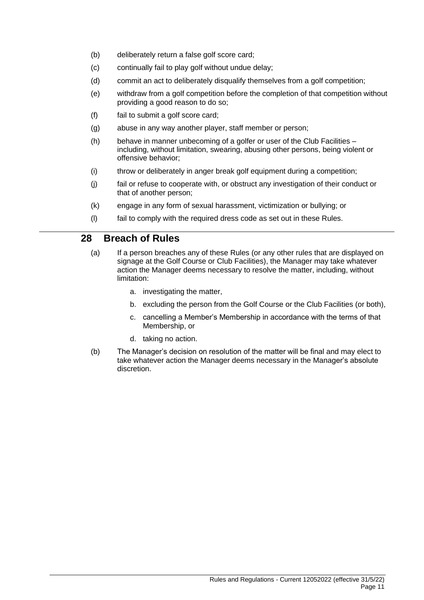- (b) deliberately return a false golf score card;
- (c) continually fail to play golf without undue delay;
- (d) commit an act to deliberately disqualify themselves from a golf competition;
- (e) withdraw from a golf competition before the completion of that competition without providing a good reason to do so;
- (f) fail to submit a golf score card;
- (g) abuse in any way another player, staff member or person;
- (h) behave in manner unbecoming of a golfer or user of the Club Facilities including, without limitation, swearing, abusing other persons, being violent or offensive behavior;
- (i) throw or deliberately in anger break golf equipment during a competition;
- (j) fail or refuse to cooperate with, or obstruct any investigation of their conduct or that of another person;
- (k) engage in any form of sexual harassment, victimization or bullying; or
- (l) fail to comply with the required dress code as set out in these Rules.

## **28 Breach of Rules**

- (a) If a person breaches any of these Rules (or any other rules that are displayed on signage at the Golf Course or Club Facilities), the Manager may take whatever action the Manager deems necessary to resolve the matter, including, without limitation:
	- a. investigating the matter,
	- b. excluding the person from the Golf Course or the Club Facilities (or both),
	- c. cancelling a Member's Membership in accordance with the terms of that Membership, or
	- d. taking no action.
- (b) The Manager's decision on resolution of the matter will be final and may elect to take whatever action the Manager deems necessary in the Manager's absolute discretion.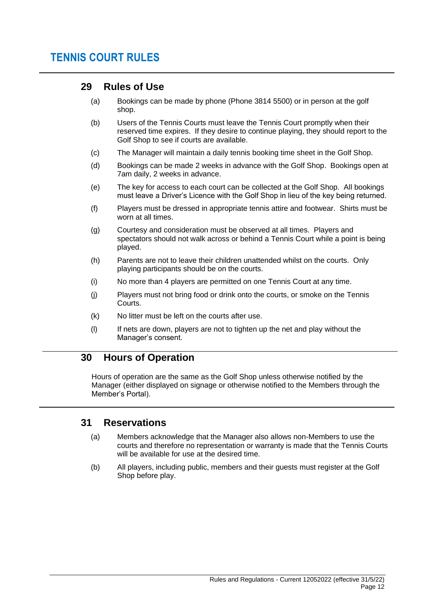# **TENNIS COURT RULES**

## **29 Rules of Use**

- (a) Bookings can be made by phone (Phone 3814 5500) or in person at the golf shop.
- (b) Users of the Tennis Courts must leave the Tennis Court promptly when their reserved time expires. If they desire to continue playing, they should report to the Golf Shop to see if courts are available.
- (c) The Manager will maintain a daily tennis booking time sheet in the Golf Shop.
- (d) Bookings can be made 2 weeks in advance with the Golf Shop. Bookings open at 7am daily, 2 weeks in advance.
- (e) The key for access to each court can be collected at the Golf Shop. All bookings must leave a Driver's Licence with the Golf Shop in lieu of the key being returned.
- (f) Players must be dressed in appropriate tennis attire and footwear. Shirts must be worn at all times.
- (g) Courtesy and consideration must be observed at all times. Players and spectators should not walk across or behind a Tennis Court while a point is being played.
- (h) Parents are not to leave their children unattended whilst on the courts. Only playing participants should be on the courts.
- (i) No more than 4 players are permitted on one Tennis Court at any time.
- (j) Players must not bring food or drink onto the courts, or smoke on the Tennis Courts.
- (k) No litter must be left on the courts after use.
- (l) If nets are down, players are not to tighten up the net and play without the Manager's consent.

## **30 Hours of Operation**

Hours of operation are the same as the Golf Shop unless otherwise notified by the Manager (either displayed on signage or otherwise notified to the Members through the Member's Portal).

## **31 Reservations**

- (a) Members acknowledge that the Manager also allows non-Members to use the courts and therefore no representation or warranty is made that the Tennis Courts will be available for use at the desired time.
- (b) All players, including public, members and their guests must register at the Golf Shop before play.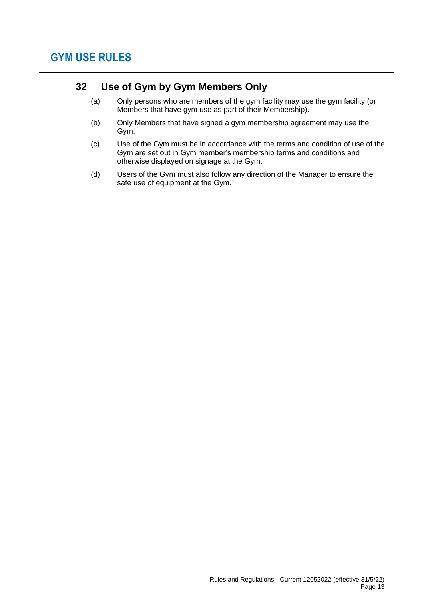# **32 Use of Gym by Gym Members Only**

- (a) Only persons who are members of the gym facility may use the gym facility (or Members that have gym use as part of their Membership).
- (b) Only Members that have signed a gym membership agreement may use the Gym.
- (c) Use of the Gym must be in accordance with the terms and condition of use of the Gym are set out in Gym member's membership terms and conditions and otherwise displayed on signage at the Gym.
- (d) Users of the Gym must also follow any direction of the Manager to ensure the safe use of equipment at the Gym.